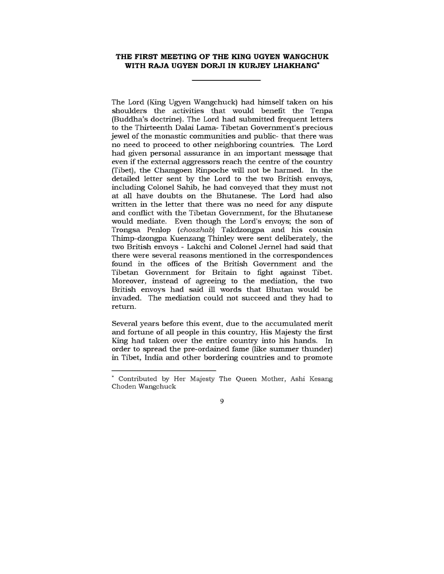## **THE FIRST MEETING OF THE KING UGYEN WANGCHUK WITH RAJA UGYEN DORJI IN KURJEY LHAKHANG\***

The Lord (King Ugyen Wangchuck) had himself taken on his shoulders the activities that would benefit the Tenpa (Buddha's doctrine). The Lord had submitted frequent letters to the Thirteenth Dalai Lama- Tibetan Government's precious jewel of the monastic communities and public- that there was no need to proceed to other neighboring countries. The Lord had given personal assurance in an important message that even if the external aggressors reach the centre of the country (Tibet), the Chamgoen Rinpoche will not be harmed. In the detailed letter sent by the Lord to the two British envoys, including Colonel Sahib, he had conveyed that they must not at all have doubts on the Bhutanese. The Lord had also written in the letter that there was no need for any dispute and conflict with the Tibetan Government, for the Bhutanese would mediate. Even though the Lord's envoys; the son of Trongsa Penlop *(choszhab)* Takdzongpa and his cousin Thimp-dzongpa Kuenzang Thinley were sent deliberately, the two British envoys - Lakchi and Colonel Jernel had said that there were several reasons mentioned in the correspondences found in the offices of the British Government and the Tibetan Government for Britain to fight against Tibet. Moreover, instead of agreeing to the mediation, the two British envoys had said ill words that Bhutan would be invaded. The mediation could not succeed and they had to return.

Several years before this event, due to the accumulated merit and fortune of all people in this country, His Majesty the first King had taken over the entire country into his hands. In order to spread the pre-ordained fame (like summer thunder) in Tibet, India and other bordering countries and to promote

9

Contributed by Her Majesty The Queen Mother, Ashi Kesang Choden Wangchuck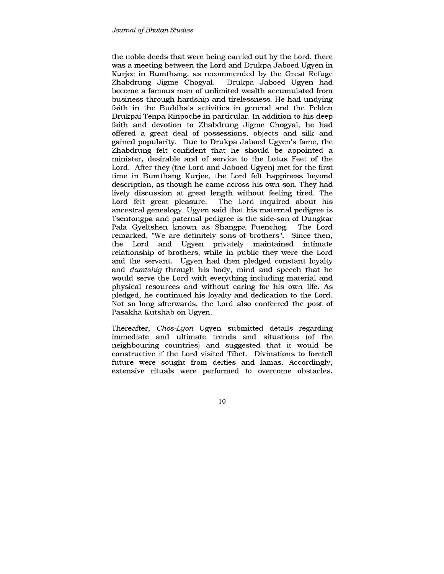the noble deeds that were being carried out by the Lord, there was a meeting between the Lord and Drukpa Jaboed Ugyen in Kurjee in Bumthang, as recommended by the Great Refuge Zhabdrung Jigme Chogyal. Drukpa Jaboed Ugyen had become a famous man of unlimited wealth accumulated from business through hardship and tirelessness. He had undying faith in the Buddha's activities in general and the Pelden Drukpai Tenpa Rinpoche in particular. In addition to his deep faith and devotion to Zhabdrung Jigme Chogyal, he had offered a great deal of possessions, objects and silk and gained popularity. Due to Drukpa Jaboed Ugyen's fame, the Zhabdrung felt confident that he should be appointed a minister, desirable and of service to the Lotus Feet of the Lord. After they (the Lord and Jaboed Ugyen) met for the first time in Bumthang Kurjee, the Lord felt happiness beyond description, as though he came across his own son. They had lively discussion at great length without feeling tired. The Lord felt great pleasure. The Lord inquired about his ancestral genealogy. Ugyen said that his maternal pedigree is Tsentongpa and paternal pedigree is the side-son of Dungkar Pala Gyeltshen known as Shangpa Puenchog. The Lord remarked, "We are definitely sons of brothers". Since then, the Lord and Ugyen privately maintained intimate relationship of brothers, while in public they were the Lord and the servant. Ugyen had then pledged constant loyalty and *damtshig* through his body, mind and speech that he would serve the Lord with everything including material and physical resources and without caring for his own life. As pledged, he continued his loyalty and dedication to the Lord. Not so long afterwards, the Lord also conferred the post of Pasakha Kutshab on Ugyen.

Thereafter, *Chos-Lyon* Ugyen submitted details regarding immediate and ultimate trends and situations (of the neighbouring countries) and suggested that it would be constructive if the Lord visited Tibet. Divinations to foretell future were sought from deities and lamas. Accordingly, extensive rituals were performed to overcome obstacles.

10